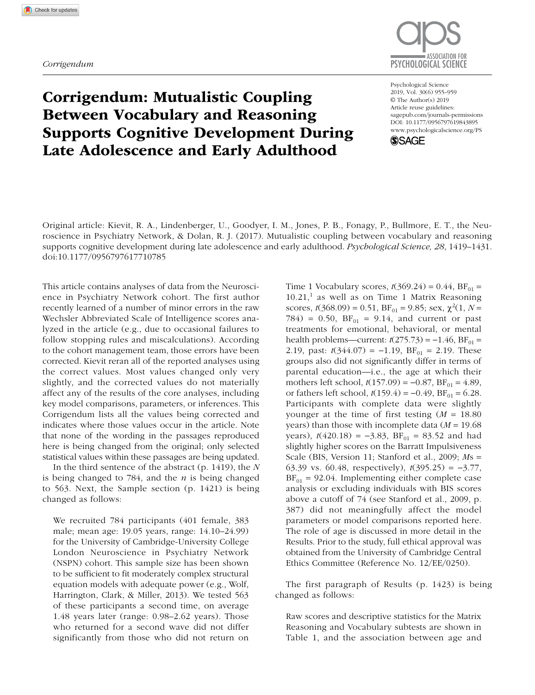

## Corrigendum: Mutualistic Coupling Between Vocabulary and Reasoning Supports Cognitive Development During Late Adolescence and Early Adulthood

DOI: 10.1177/0956797619843895 Psychological Science 2019, Vol. 30(6) 955–959 © The Author(s) 2019 Article reuse guidelines: [sagepub.com/journals-permissions](https://sagepub.com/journals-permissions) [www.psychologicalscience.org/PS](http://www.psychologicalscience.org/ps)



Original article: Kievit, R. A., Lindenberger, U., Goodyer, I. M., Jones, P. B., Fonagy, P., Bullmore, E. T., the Neuroscience in Psychiatry Network, & Dolan, R. J. (2017). Mutualistic coupling between vocabulary and reasoning supports cognitive development during late adolescence and early adulthood. *Psychological Science, 28*, 1419–1431. doi:10.1177/0956797617710785

This article contains analyses of data from the Neuroscience in Psychiatry Network cohort. The first author recently learned of a number of minor errors in the raw Wechsler Abbreviated Scale of Intelligence scores analyzed in the article (e.g., due to occasional failures to follow stopping rules and miscalculations). According to the cohort management team, those errors have been corrected. Kievit reran all of the reported analyses using the correct values. Most values changed only very slightly, and the corrected values do not materially affect any of the results of the core analyses, including key model comparisons, parameters, or inferences. This Corrigendum lists all the values being corrected and indicates where those values occur in the article. Note that none of the wording in the passages reproduced here is being changed from the original; only selected statistical values within these passages are being updated.

In the third sentence of the abstract (p. 1419), the *N* is being changed to 784, and the *n* is being changed to 563. Next, the Sample section (p. 1421) is being changed as follows:

We recruited 784 participants (401 female, 383 male; mean age: 19.05 years, range: 14.10–24.99) for the University of Cambridge-University College London Neuroscience in Psychiatry Network (NSPN) cohort. This sample size has been shown to be sufficient to fit moderately complex structural equation models with adequate power (e.g., Wolf, Harrington, Clark, & Miller, 2013). We tested 563 of these participants a second time, on average 1.48 years later (range: 0.98–2.62 years). Those who returned for a second wave did not differ significantly from those who did not return on Time 1 Vocabulary scores,  $t(369.24) = 0.44$ ,  $BF_{01} =$  $10.21$ ,<sup>1</sup> as well as on Time 1 Matrix Reasoning scores,  $t(368.09) = 0.51$ ,  $BF_{01} = 9.85$ ; sex,  $\chi^2(1, N =$ 784) = 0.50,  $BF_{01} = 9.14$ , and current or past treatments for emotional, behavioral, or mental health problems—current:  $t(275.73) = -1.46$ , BF<sub>01</sub> = 2.19, past:  $t(344.07) = -1.19$ ,  $BF_{01} = 2.19$ . These groups also did not significantly differ in terms of parental education—i.e., the age at which their mothers left school,  $t(157.09) = -0.87$ ,  $BF_{01} = 4.89$ , or fathers left school,  $t(159.4) = -0.49$ ,  $BF_{01} = 6.28$ . Participants with complete data were slightly younger at the time of first testing (*M* = 18.80 years) than those with incomplete data (*M* = 19.68 years),  $t(420.18) = -3.83$ ,  $BF_{01} = 83.52$  and had slightly higher scores on the Barratt Impulsiveness Scale (BIS, Version 11; Stanford et al., 2009; *M*s = 63.39 vs. 60.48, respectively), *t*(395.25) = −3.77,  $BF_{01} = 92.04$ . Implementing either complete case analysis or excluding individuals with BIS scores above a cutoff of 74 (see Stanford et al., 2009, p. 387) did not meaningfully affect the model parameters or model comparisons reported here. The role of age is discussed in more detail in the Results. Prior to the study, full ethical approval was obtained from the University of Cambridge Central Ethics Committee (Reference No. 12/EE/0250).

The first paragraph of Results (p. 1423) is being changed as follows:

Raw scores and descriptive statistics for the Matrix Reasoning and Vocabulary subtests are shown in Table 1, and the association between age and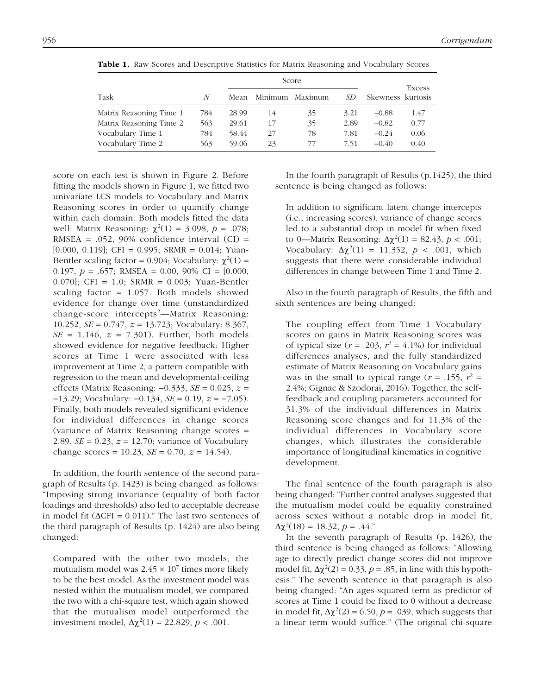|                         |     |       | Score |                 |      | Excess            |      |
|-------------------------|-----|-------|-------|-----------------|------|-------------------|------|
| Task                    | N   | Mean  |       | Minimum Maximum | SD   | Skewness kurtosis |      |
| Matrix Reasoning Time 1 | 784 | 28.99 | 14    | 35              | 3.21 | $-0.88$           | 1.47 |
| Matrix Reasoning Time 2 | 563 | 29.61 | 17    | 35              | 2.89 | $-0.82$           | 0.77 |
| Vocabulary Time 1       | 784 | 58.44 | 27    | 78              | 7.81 | $-0.24$           | 0.06 |
| Vocabulary Time 2       | 563 | 59.06 | 23    | 77              | 7.51 | $-0.40$           | 0.40 |

Table 1. Raw Scores and Descriptive Statistics for Matrix Reasoning and Vocabulary Scores

score on each test is shown in Figure 2. Before fitting the models shown in Figure 1, we fitted two univariate LCS models to Vocabulary and Matrix Reasoning scores in order to quantify change within each domain. Both models fitted the data well: Matrix Reasoning:  $\chi^2(1) = 3.098, p = .078;$ RMSEA =  $.052$ , 90% confidence interval (CI) = [0.000, 0.119]; CFI = 0.995; SRMR = 0.014; Yuan-Bentler scaling factor = 0.904; Vocabulary:  $\chi^2(1)$  = 0.197,  $p = .657$ ; RMSEA = 0.00, 90% CI = [0.000, 0.070]; CFI = 1.0; SRMR = 0.003; Yuan-Bentler scaling factor = 1.057. Both models showed evidence for change over time (unstandardized change-score intercepts<sup>2</sup>—Matrix Reasoning: 10.252, *SE* = 0.747, *z* = 13.723; Vocabulary: 8.367,  $SE = 1.146$ ,  $z = 7.301$ ). Further, both models showed evidence for negative feedback: Higher scores at Time 1 were associated with less improvement at Time 2, a pattern compatible with regression to the mean and developmental-ceiling effects (Matrix Reasoning: −0.333, *SE* = 0.025, *z* = −13.29; Vocabulary: −0.134, *SE* = 0.19, *z* = −7.05). Finally, both models revealed significant evidence for individual differences in change scores (variance of Matrix Reasoning change scores = 2.89,  $SE = 0.23$ ,  $z = 12.70$ ; variance of Vocabulary change scores = 10.23,  $SE = 0.70$ ,  $z = 14.54$ .

In addition, the fourth sentence of the second paragraph of Results (p. 1423) is being changed. as follows: "Imposing strong invariance (equality of both factor loadings and thresholds) also led to acceptable decrease in model fit ( $\Delta$ CFI = 0.011)." The last two sentences of the third paragraph of Results (p. 1424) are also being changed:

Compared with the other two models, the mutualism model was  $2.45 \times 10^7$  times more likely to be the best model. As the investment model was nested within the mutualism model, we compared the two with a chi-square test, which again showed that the mutualism model outperformed the investment model,  $\Delta \chi^2(1) = 22.829$ ,  $p < .001$ .

In the fourth paragraph of Results (p.1425), the third sentence is being changed as follows:

In addition to significant latent change intercepts (i.e., increasing scores), variance of change scores led to a substantial drop in model fit when fixed to 0—Matrix Reasoning:  $Δχ<sup>2</sup>(1) = 82.43, p < .001;$ Vocabulary:  $Δχ²(1) = 11.352, p < .001$ , which suggests that there were considerable individual differences in change between Time 1 and Time 2.

Also in the fourth paragraph of Results, the fifth and sixth sentences are being changed:

The coupling effect from Time 1 Vocabulary scores on gains in Matrix Reasoning scores was of typical size  $(r = .203, r^2 = 4.1\%)$  for individual differences analyses, and the fully standardized estimate of Matrix Reasoning on Vocabulary gains was in the small to typical range ( $r = .155$ ,  $r^2 =$ 2.4%; Gignac & Szodorai, 2016). Together, the selffeedback and coupling parameters accounted for 31.3% of the individual differences in Matrix Reasoning score changes and for 11.3% of the individual differences in Vocabulary score changes, which illustrates the considerable importance of longitudinal kinematics in cognitive development.

The final sentence of the fourth paragraph is also being changed: "Further control analyses suggested that the mutualism model could be equality constrained across sexes without a notable drop in model fit,  $\Delta \chi^2(18) = 18.32, p = .44."$ 

In the seventh paragraph of Results (p. 1426), the third sentence is being changed as follows: "Allowing age to directly predict change scores did not improve model fit,  $\Delta \chi^2(2) = 0.33$ ,  $p = .85$ , in line with this hypothesis." The seventh sentence in that paragraph is also being changed: "An ages-squared term as predictor of scores at Time 1 could be fixed to 0 without a decrease in model fit,  $\Delta \chi^2(2) = 6.50$ ,  $p = .039$ , which suggests that a linear term would suffice." (The original chi-square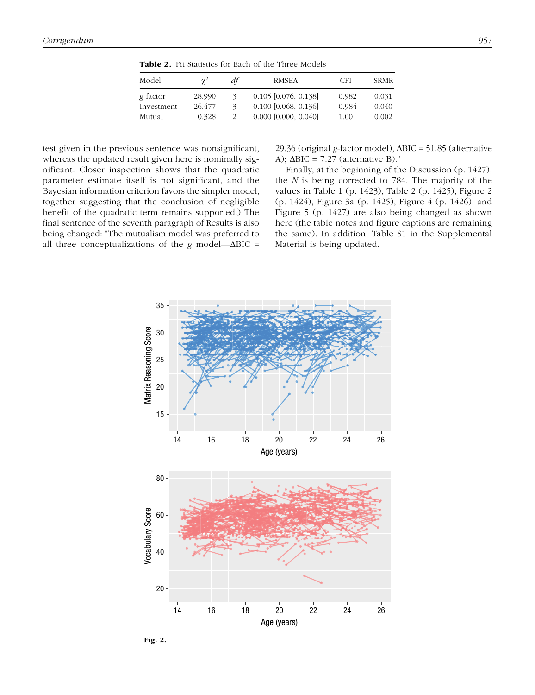| Model      | $\gamma^2$ | df                          | <b>RMSEA</b>             | CFI   | <b>SRMR</b> |
|------------|------------|-----------------------------|--------------------------|-------|-------------|
| g factor   | 28.990     | 3                           | $0.105$ [0.076, 0.138]   | 0.982 | 0.031       |
| Investment | 26.477     | $\mathcal{Z}_{\mathcal{A}}$ | $0.100$ [0.068, 0.136]   | 0.984 | 0.040       |
| Mutual     | 0.328      | $\mathcal{L}$               | $0.000$ $[0.000, 0.040]$ | 1.00  | 0.002       |

Table 2. Fit Statistics for Each of the Three Models

test given in the previous sentence was nonsignificant, whereas the updated result given here is nominally significant. Closer inspection shows that the quadratic parameter estimate itself is not significant, and the Bayesian information criterion favors the simpler model, together suggesting that the conclusion of negligible benefit of the quadratic term remains supported.) The final sentence of the seventh paragraph of Results is also being changed: "The mutualism model was preferred to all three conceptualizations of the *g* model—ΔBIC = 29.36 (original *g*-factor model), ΔBIC = 51.85 (alternative A);  $ΔBIC = 7.27$  (alternative B)."

Finally, at the beginning of the Discussion (p. 1427), the *N* is being corrected to 784. The majority of the values in Table 1 (p. 1423), Table 2 (p. 1425), Figure 2 (p. 1424), Figure 3a (p. 1425), Figure 4 (p. 1426), and Figure 5 (p. 1427) are also being changed as shown here (the table notes and figure captions are remaining the same). In addition, Table S1 in the Supplemental Material is being updated.



Fig. 2.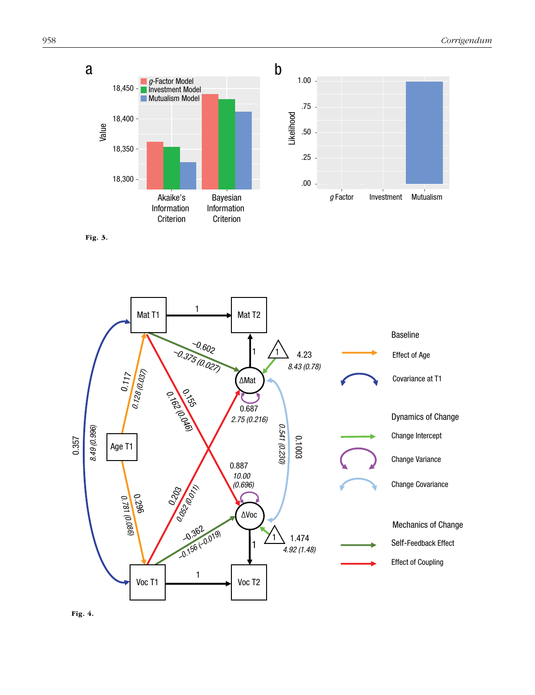

Fig. 3.